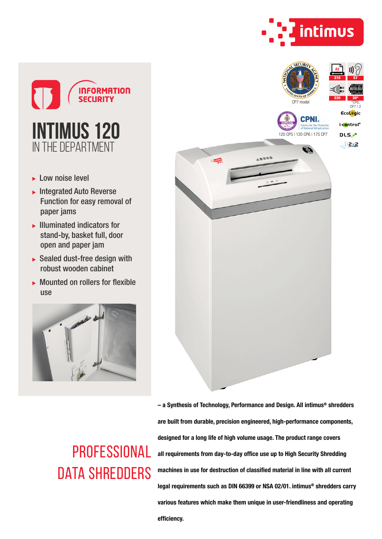



- ► Low noise level
- $\blacktriangleright$  Integrated Auto Reverse Function for easy removal of paper jams
- $\blacktriangleright$  Illuminated indicators for stand-by, basket full, door open and paper jam
- $\triangleright$  Sealed dust-free design with robust wooden cabinet
- $\blacktriangleright$  Mounted on rollers for flexible use





**PROFESSIONAL** DATA SHREDDERS

– a Synthesis of Technology, Performance and Design. All intimus® shredders are built from durable, precision engineered, high-performance components, designed for a long life of high volume usage. The product range covers all requirements from day-to-day office use up to High Security Shredding machines in use for destruction of classified material in line with all current legal requirements such as DIN 66399 or NSA 02/01. intimus® shredders carry various features which make them unique in user-friendliness and operating efficiency.